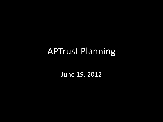## APTrust Planning

June 19, 2012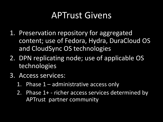### APTrust Givens

- 1. Preservation repository for aggregated content; use of Fedora, Hydra, DuraCloud OS and CloudSync OS technologies
- 2. DPN replicating node; use of applicable OS technologies
- 3. Access services:
	- 1. Phase 1 administrative access only
	- 2. Phase 1+ richer access services determined by APTrust partner community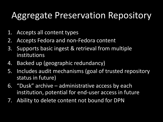## Aggregate Preservation Repository

- 1. Accepts all content types
- 2. Accepts Fedora and non-Fedora content
- 3. Supports basic ingest & retrieval from multiple institutions
- 4. Backed up (geographic redundancy)
- 5. Includes audit mechanisms (goal of trusted repository status in future)
- 6. "Dusk" archive administrative access by each institution, potential for end-user access in future
- 7. Ability to delete content not bound for DPN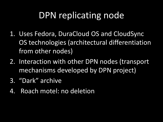# DPN replicating node

- 1. Uses Fedora, DuraCloud OS and CloudSync OS technologies (architectural differentiation from other nodes)
- 2. Interaction with other DPN nodes (transport mechanisms developed by DPN project)
- 3. "Dark" archive
- 4. Roach motel: no deletion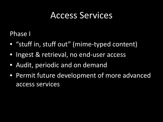#### Access Services

Phase I

- "stuff in, stuff out" (mime-typed content)
- Ingest & retrieval, no end-user access
- Audit, periodic and on demand
- Permit future development of more advanced access services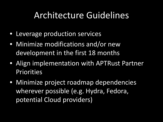## Architecture Guidelines

- Leverage production services
- Minimize modifications and/or new development in the first 18 months
- Align implementation with APTRust Partner Priorities
- Minimize project roadmap dependencies wherever possible (e.g. Hydra, Fedora, potential Cloud providers)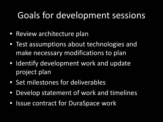#### Goals for development sessions

- Review architecture plan
- Test assumptions about technologies and make necessary modifications to plan
- Identify development work and update project plan
- Set milestones for deliverables
- Develop statement of work and timelines
- Issue contract for DuraSpace work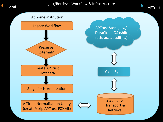



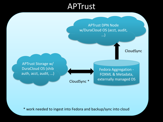#### **APTrust**

APTrust DPN Node w/DuraCloud OS (acct, audit, …) CloudSync \* CloudSync APTrust Storage w/ DuraCloud OS (shib auth, acct, audit, …) Fedora Aggregation - FOXML & Metadata, externally managed DS

\* work needed to ingest into Fedora and backup/sync into cloud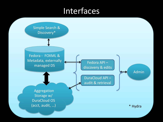#### Interfaces

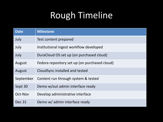# Rough Timeline

| <b>Date</b> | <b>Milestone</b>                              |
|-------------|-----------------------------------------------|
| July        | Test content prepared                         |
| July        | Institutional ingest workflow developed       |
| July        | DuraCloud OS set up (on purchased cloud)      |
| August      | Fedora repository set up (on purchased cloud) |
| August      | CloudSync installed and tested                |
| September   | Content run through system & tested           |
| Sept 30     | Demo w/out admin interface ready              |
| Oct-Nov     | Develop administrative interface              |
| Dec 31      | Demo w/ admin interface ready                 |